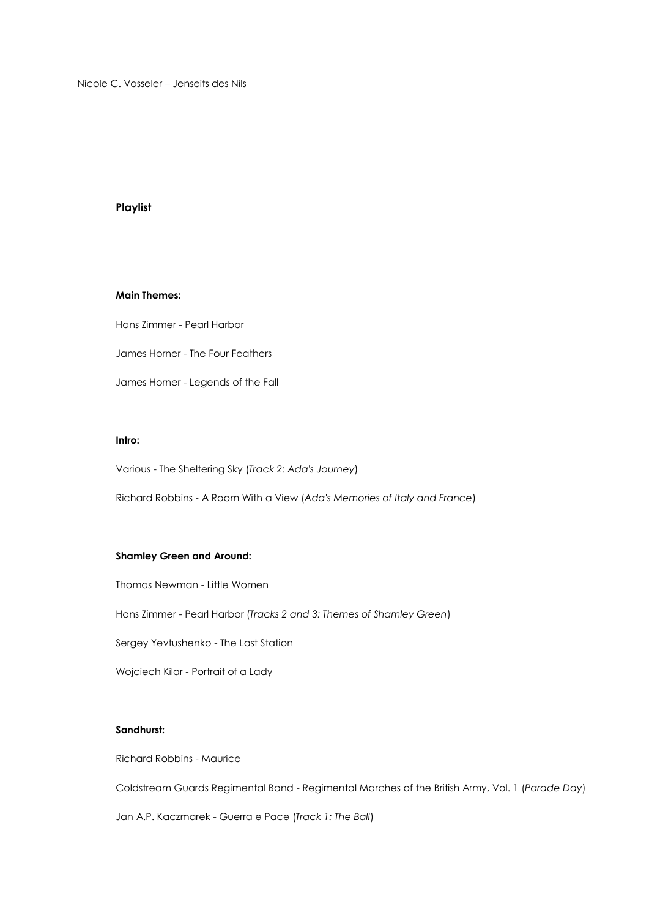Nicole C. Vosseler – Jenseits des Nils

### **Playlist**

## **Main Themes:**

Hans Zimmer - Pearl Harbor James Horner - The Four Feathers James Horner - Legends of the Fall

### **Intro:**

Various - The Sheltering Sky (*Track 2: Ada's Journey*)

Richard Robbins - A Room With a View (*Ada's Memories of Italy and France*)

### **Shamley Green and Around:**

Thomas Newman - Little Women

Hans Zimmer - Pearl Harbor (*Tracks 2 and 3: Themes of Shamley Green*)

Sergey Yevtushenko - The Last Station

Wojciech Kilar - Portrait of a Lady

# **Sandhurst:**

Richard Robbins - Maurice

Coldstream Guards Regimental Band - Regimental Marches of the British Army, Vol. 1 (*Parade Day*)

Jan A.P. Kaczmarek - Guerra e Pace (*Track 1: The Ball*)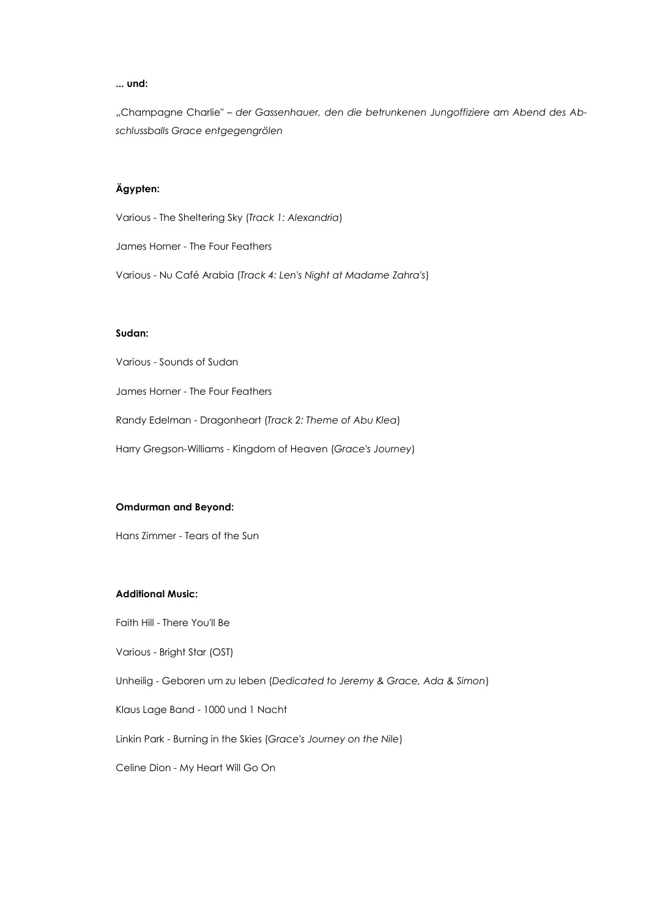#### **... und:**

"Champagne Charlie" - der Gassenhauer, den die betrunkenen Jungoffiziere am Abend des Ab*schlussballs Grace entgegengrölen* 

# **Ägypten:**

Various - The Sheltering Sky (*Track 1: Alexandria*)

James Horner - The Four Feathers

Various - Nu Café Arabia (*Track 4: Len's Night at Madame Zahra's*)

### **Sudan:**

Various - Sounds of Sudan

James Horner - The Four Feathers

Randy Edelman - Dragonheart (*Track 2: Theme of Abu Klea*)

Harry Gregson-Williams - Kingdom of Heaven (*Grace's Journey*)

#### **Omdurman and Beyond:**

Hans Zimmer - Tears of the Sun

### **Additional Music:**

Faith Hill - There You'll Be

Various - Bright Star (OST)

Unheilig - Geboren um zu leben (*Dedicated to Jeremy & Grace, Ada & Simon*)

Klaus Lage Band - 1000 und 1 Nacht

Linkin Park - Burning in the Skies (*Grace's Journey on the Nile*)

Celine Dion - My Heart Will Go On